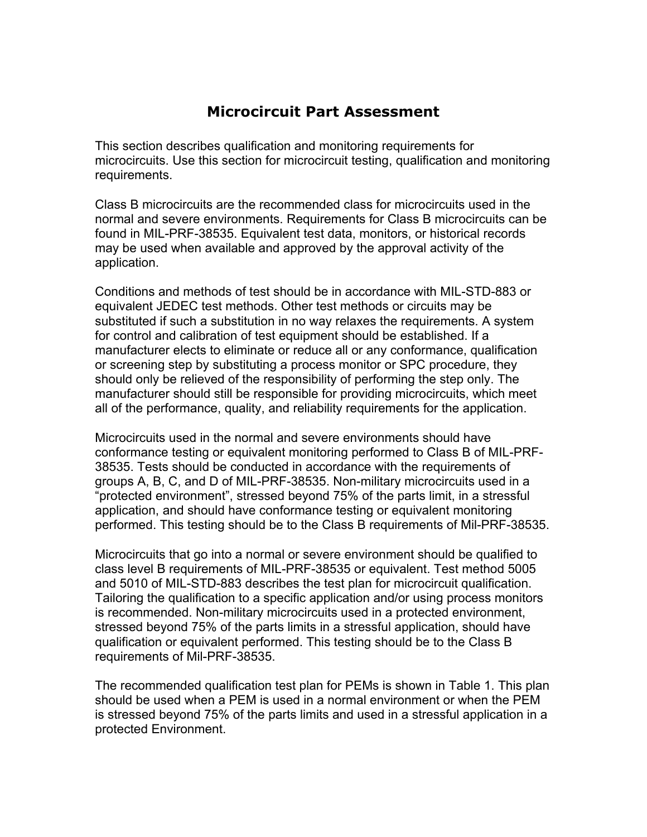## **Microcircuit Part Assessment**

This section describes qualification and monitoring requirements for microcircuits. Use this section for microcircuit testing, qualification and monitoring requirements.

Class B microcircuits are the recommended class for microcircuits used in the normal and severe environments. Requirements for Class B microcircuits can be found in MIL-PRF-38535. Equivalent test data, monitors, or historical records may be used when available and approved by the approval activity of the application.

Conditions and methods of test should be in accordance with MIL-STD-883 or equivalent JEDEC test methods. Other test methods or circuits may be substituted if such a substitution in no way relaxes the requirements. A system for control and calibration of test equipment should be established. If a manufacturer elects to eliminate or reduce all or any conformance, qualification or screening step by substituting a process monitor or SPC procedure, they should only be relieved of the responsibility of performing the step only. The manufacturer should still be responsible for providing microcircuits, which meet all of the performance, quality, and reliability requirements for the application.

Microcircuits used in the normal and severe environments should have conformance testing or equivalent monitoring performed to Class B of MIL-PRF-38535. Tests should be conducted in accordance with the requirements of groups A, B, C, and D of MIL-PRF-38535. Non-military microcircuits used in a "protected environment", stressed beyond 75% of the parts limit, in a stressful application, and should have conformance testing or equivalent monitoring performed. This testing should be to the Class B requirements of Mil-PRF-38535.

Microcircuits that go into a normal or severe environment should be qualified to class level B requirements of MIL-PRF-38535 or equivalent. Test method 5005 and 5010 of MIL-STD-883 describes the test plan for microcircuit qualification. Tailoring the qualification to a specific application and/or using process monitors is recommended. Non-military microcircuits used in a protected environment, stressed beyond 75% of the parts limits in a stressful application, should have qualification or equivalent performed. This testing should be to the Class B requirements of Mil-PRF-38535.

The recommended qualification test plan for PEMs is shown in Table 1. This plan should be used when a PEM is used in a normal environment or when the PEM is stressed beyond 75% of the parts limits and used in a stressful application in a protected Environment.